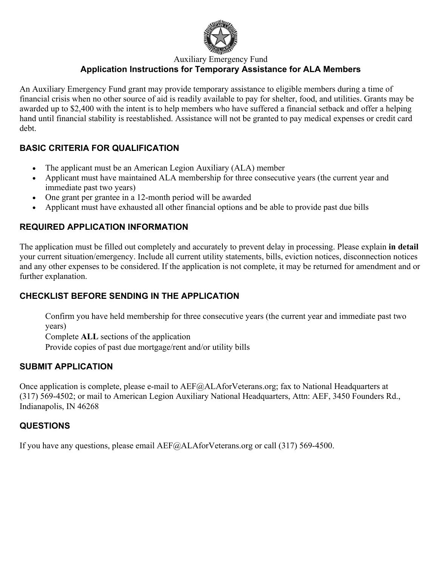

Auxiliary Emergency Fund

# **Application Instructions for Temporary Assistance for ALA Members**

An Auxiliary Emergency Fund grant may provide temporary assistance to eligible members during a time of financial crisis when no other source of aid is readily available to pay for shelter, food, and utilities. Grants may be awarded up to \$2,400 with the intent is to help members who have suffered a financial setback and offer a helping hand until financial stability is reestablished. Assistance will not be granted to pay medical expenses or credit card debt.

### **BASIC CRITERIA FOR QUALIFICATION**

- The applicant must be an American Legion Auxiliary (ALA) member
- Applicant must have maintained ALA membership for three consecutive years (the current year and immediate past two years)
- One grant per grantee in a 12-month period will be awarded
- Applicant must have exhausted all other financial options and be able to provide past due bills

### **REQUIRED APPLICATION INFORMATION**

The application must be filled out completely and accurately to prevent delay in processing. Please explain **in detail** your current situation/emergency. Include all current utility statements, bills, eviction notices, disconnection notices and any other expenses to be considered. If the application is not complete, it may be returned for amendment and or further explanation.

# **CHECKLIST BEFORE SENDING IN THE APPLICATION**

 Confirm you have held membership for three consecutive years (the current year and immediate past two years)

 Complete **ALL** sections of the application Provide copies of past due mortgage/rent and/or utility bills

# **SUBMIT APPLICATION**

Once application is complete, please e-mail to AEF@ALAforVeterans.org; fax to National Headquarters at (317) 569-4502; or mail to American Legion Auxiliary National Headquarters, Attn: AEF, 3450 Founders Rd., Indianapolis, IN 46268

# **QUESTIONS**

If you have any questions, please email AEF@ALAforVeterans.org or call (317) 569-4500.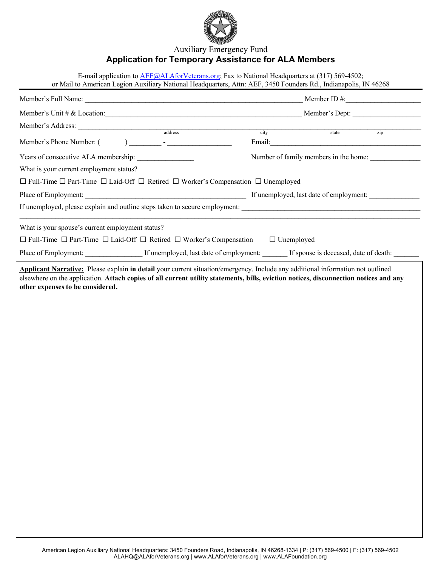

#### Auxiliary Emergency Fund **Application for Temporary Assistance for ALA Members**

|                                                                                                    | E-mail application to AEF@ALAforVeterans.org; Fax to National Headquarters at (317) 569-4502;<br>or Mail to American Legion Auxiliary National Headquarters, Attn: AEF, 3450 Founders Rd., Indianapolis, IN 46268             |                   |                                                                                                                                                                                                                                               |     |  |
|----------------------------------------------------------------------------------------------------|-------------------------------------------------------------------------------------------------------------------------------------------------------------------------------------------------------------------------------|-------------------|-----------------------------------------------------------------------------------------------------------------------------------------------------------------------------------------------------------------------------------------------|-----|--|
| Member's Full Name:<br>Member ID $\#$ :                                                            |                                                                                                                                                                                                                               |                   |                                                                                                                                                                                                                                               |     |  |
| Member's Unit # & Location:                                                                        |                                                                                                                                                                                                                               | Member's Dept:    |                                                                                                                                                                                                                                               |     |  |
| Member's Address:                                                                                  |                                                                                                                                                                                                                               |                   |                                                                                                                                                                                                                                               |     |  |
| Member's Phone Number: (                                                                           | ) and the set of the set of the set of the set of the set of the set of the set of the set of the set of the set of the set of the set of the set of the set of the set of the set of the set of the set of the set of the se | city              | state<br>Email: <u>Alexander and Alexander and Alexander and Alexander and Alexander and Alexander and Alexander and Alexander and Alexander and Alexander and Alexander and Alexander and Alexander and Alexander and Alexander and Alex</u> | zip |  |
| Years of consecutive ALA membership:                                                               |                                                                                                                                                                                                                               |                   | Number of family members in the home:                                                                                                                                                                                                         |     |  |
| What is your current employment status?                                                            |                                                                                                                                                                                                                               |                   |                                                                                                                                                                                                                                               |     |  |
| □ Full-Time □ Part-Time □ Laid-Off □ Retired □ Worker's Compensation □ Unemployed                  |                                                                                                                                                                                                                               |                   |                                                                                                                                                                                                                                               |     |  |
|                                                                                                    |                                                                                                                                                                                                                               |                   |                                                                                                                                                                                                                                               |     |  |
| If unemployed, please explain and outline steps taken to secure employment:                        |                                                                                                                                                                                                                               |                   |                                                                                                                                                                                                                                               |     |  |
| What is your spouse's current employment status?                                                   |                                                                                                                                                                                                                               |                   |                                                                                                                                                                                                                                               |     |  |
| $\Box$ Full-Time $\Box$ Part-Time $\Box$ Laid-Off $\Box$ Retired $\Box$ Worker's Compensation      |                                                                                                                                                                                                                               | $\Box$ Unemployed |                                                                                                                                                                                                                                               |     |  |
| Place of Employment: If unemployed, last date of employment: If spouse is deceased, date of death: |                                                                                                                                                                                                                               |                   |                                                                                                                                                                                                                                               |     |  |
|                                                                                                    |                                                                                                                                                                                                                               |                   |                                                                                                                                                                                                                                               |     |  |
|                                                                                                    |                                                                                                                                                                                                                               |                   |                                                                                                                                                                                                                                               |     |  |
|                                                                                                    |                                                                                                                                                                                                                               |                   |                                                                                                                                                                                                                                               |     |  |
|                                                                                                    |                                                                                                                                                                                                                               |                   |                                                                                                                                                                                                                                               |     |  |